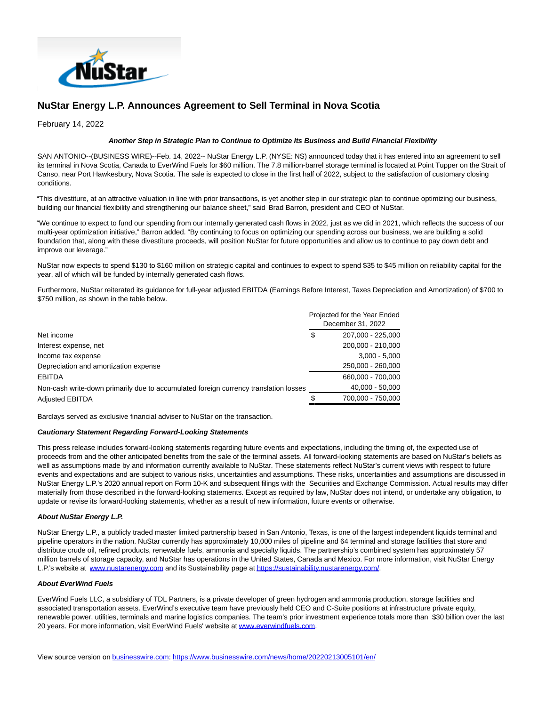

# **NuStar Energy L.P. Announces Agreement to Sell Terminal in Nova Scotia**

February 14, 2022

### **Another Step in Strategic Plan to Continue to Optimize Its Business and Build Financial Flexibility**

SAN ANTONIO--(BUSINESS WIRE)--Feb. 14, 2022-- NuStar Energy L.P. (NYSE: NS) announced today that it has entered into an agreement to sell its terminal in Nova Scotia, Canada to EverWind Fuels for \$60 million. The 7.8 million-barrel storage terminal is located at Point Tupper on the Strait of Canso, near Port Hawkesbury, Nova Scotia. The sale is expected to close in the first half of 2022, subject to the satisfaction of customary closing conditions.

"This divestiture, at an attractive valuation in line with prior transactions, is yet another step in our strategic plan to continue optimizing our business, building our financial flexibility and strengthening our balance sheet," said Brad Barron, president and CEO of NuStar.

"We continue to expect to fund our spending from our internally generated cash flows in 2022, just as we did in 2021, which reflects the success of our multi-year optimization initiative," Barron added. "By continuing to focus on optimizing our spending across our business, we are building a solid foundation that, along with these divestiture proceeds, will position NuStar for future opportunities and allow us to continue to pay down debt and improve our leverage."

NuStar now expects to spend \$130 to \$160 million on strategic capital and continues to expect to spend \$35 to \$45 million on reliability capital for the year, all of which will be funded by internally generated cash flows.

Furthermore, NuStar reiterated its guidance for full-year adjusted EBITDA (Earnings Before Interest, Taxes Depreciation and Amortization) of \$700 to \$750 million, as shown in the table below.

|                                                                                      | Projected for the Year Ended<br>December 31, 2022 |
|--------------------------------------------------------------------------------------|---------------------------------------------------|
| Net income                                                                           | \$<br>207.000 - 225.000                           |
| Interest expense, net                                                                | 200,000 - 210,000                                 |
| Income tax expense                                                                   | $3.000 - 5.000$                                   |
| Depreciation and amortization expense                                                | 250,000 - 260,000                                 |
| <b>EBITDA</b>                                                                        | 660,000 - 700,000                                 |
| Non-cash write-down primarily due to accumulated foreign currency translation losses | 40,000 - 50,000                                   |
| <b>Adjusted EBITDA</b>                                                               | 700,000 - 750,000                                 |

Barclays served as exclusive financial adviser to NuStar on the transaction.

### **Cautionary Statement Regarding Forward-Looking Statements**

This press release includes forward-looking statements regarding future events and expectations, including the timing of, the expected use of proceeds from and the other anticipated benefits from the sale of the terminal assets. All forward-looking statements are based on NuStar's beliefs as well as assumptions made by and information currently available to NuStar. These statements reflect NuStar's current views with respect to future events and expectations and are subject to various risks, uncertainties and assumptions. These risks, uncertainties and assumptions are discussed in NuStar Energy L.P.'s 2020 annual report on Form 10-K and subsequent filings with the Securities and Exchange Commission. Actual results may differ materially from those described in the forward-looking statements. Except as required by law, NuStar does not intend, or undertake any obligation, to update or revise its forward-looking statements, whether as a result of new information, future events or otherwise.

#### **About NuStar Energy L.P.**

NuStar Energy L.P., a publicly traded master limited partnership based in San Antonio, Texas, is one of the largest independent liquids terminal and pipeline operators in the nation. NuStar currently has approximately 10,000 miles of pipeline and 64 terminal and storage facilities that store and distribute crude oil, refined products, renewable fuels, ammonia and specialty liquids. The partnership's combined system has approximately 57 million barrels of storage capacity, and NuStar has operations in the United States, Canada and Mexico. For more information, visit NuStar Energy L.P.'s website at [www.nustarenergy.com a](https://cts.businesswire.com/ct/CT?id=smartlink&url=http%3A%2F%2Fwww.nustarenergy.com&esheet=52578702&newsitemid=20220213005101&lan=en-US&anchor=www.nustarenergy.com&index=1&md5=2f2c7ec55a2cbfda7a801448f95dca47)nd its Sustainability page a[t https://sustainability.nustarenergy.com/.](https://cts.businesswire.com/ct/CT?id=smartlink&url=https%3A%2F%2Fsustainability.nustarenergy.com%2F&esheet=52578702&newsitemid=20220213005101&lan=en-US&anchor=https%3A%2F%2Fsustainability.nustarenergy.com%2F&index=2&md5=5cd4305d759cdd9ac8297fe7525e91d7)

## **About EverWind Fuels**

EverWind Fuels LLC, a subsidiary of TDL Partners, is a private developer of green hydrogen and ammonia production, storage facilities and associated transportation assets. EverWind's executive team have previously held CEO and C-Suite positions at infrastructure private equity, renewable power, utilities, terminals and marine logistics companies. The team's prior investment experience totals more than \$30 billion over the last 20 years. For more information, visit EverWind Fuels' website a[t www.everwindfuels.com.](https://cts.businesswire.com/ct/CT?id=smartlink&url=https%3A%2F%2Furldefense.com%2Fv3%2F__http%3A%2Fwww.everwindfuels.com__%3B%21%21G__g4gr03btf%217iisNrZFrDkPFMk91OCA_ChMsH5B36-MwlHaxTKMEWscp8J96rxipGJdD8z0jxQQJQfCdJc%24&esheet=52578702&newsitemid=20220213005101&lan=en-US&anchor=www.everwindfuels.com&index=3&md5=db7c5b12315fef6a7b6005b88c25180e)